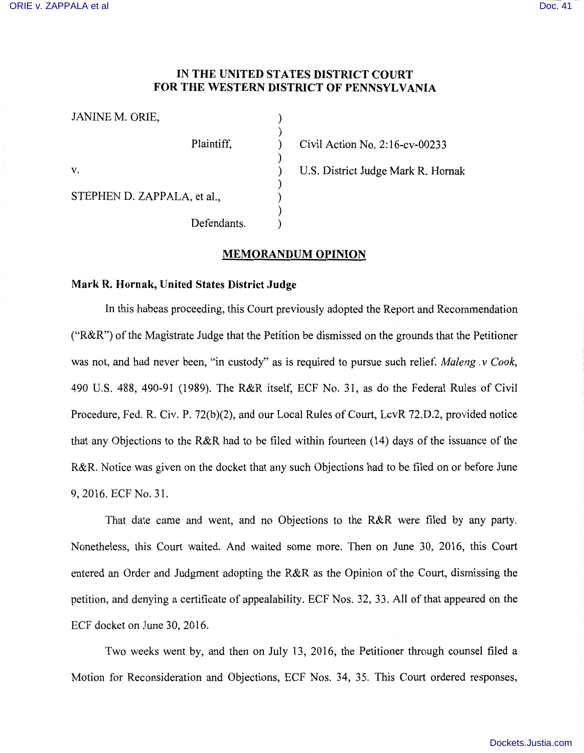## **IN THE UNITED STATES DISTRICT COURT FOR THE WESTERN DISTRICT OF PENNSYLVANIA**

| JANINE M. ORIE,             |                                    |
|-----------------------------|------------------------------------|
| Plaintiff,                  | Civil Action No. 2:16-cv-00233     |
| V.                          | U.S. District Judge Mark R. Hornak |
| STEPHEN D. ZAPPALA, et al., |                                    |
| Defendants.                 |                                    |

## **MEMORANDUM OPINION**

## **Mark R. Hornak, United States District Judge**

In this habeas proceeding, this Court previously adopted the Report and Recommendation ("R&R") of the Magistrate Judge that the Petition be dismissed on the grounds that the Petitioner was not, and had never been, "in custody" as is required to pursue such relief. *Maleng* . *v Cook,*  490 U.S. 488, 490-91 (1989). The R&R itself, ECF No. 31, as do the Federal Rules of Civil Procedure, Fed. R. Civ. P. 72(b)(2), and our Local Rules of Court, LcvR 72.D.2, provided notice that any Objections to the R&R had to be filed within fourteen (14) days of the issuance of the R&R. Notice was given on the docket that any such Objections had to be filed on or before June 9, 2016. ECF No. 31.

That date came and went, and no Objections to the R&R were filed by any party. Nonetheless, this Court waited. And waited some more. Then on June 30, 2016, this Court entered an Order and Judgment adopting the R&R as the Opinion of the Court, dismissing the petition, and denying a certificate of appealability. ECF Nos. 32, 33. All of that appeared on the ECF docket on June 30, 2016.

Two weeks went by, and then on July 13, 2016, the Petitioner through counsel filed a Motion for Reconsideration and Objections, ECF Nos. 34, 35. This Court ordered responses,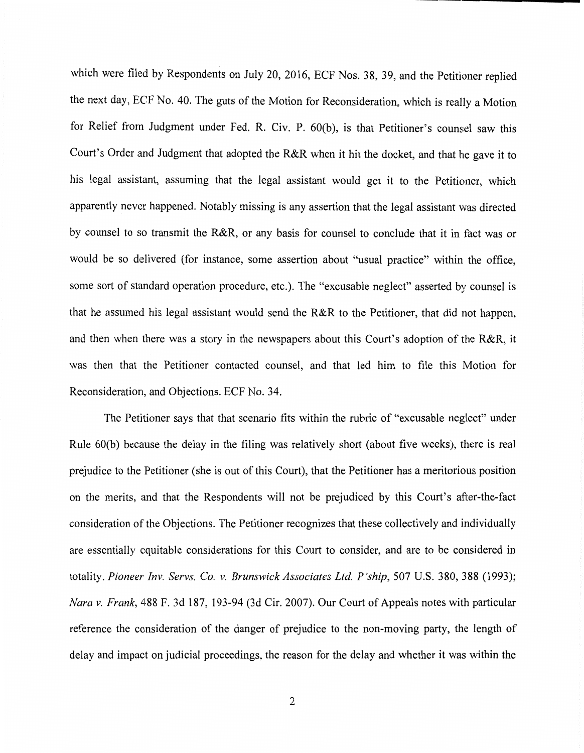which were filed by Respondents on July 20, 2016, ECF Nos. 38, 39, and the Petitioner replied the next day, ECF No. 40. The guts of the Motion for Reconsideration, which is really a Motion for Relief from Judgment under Fed. R. Civ. P. 60(b), is that Petitioner's counsel saw this Court's Order and Judgment that adopted the R&R when it hit the docket, and that he gave it to his legal assistant, assuming that the legal assistant would get it to the Petitioner, which apparently never happened. Notably missing is any assertion that the legal assistant was directed by counsel to so transmit the R&R, or any basis for counsel to conclude that it in fact was or would be so delivered (for instance, some assertion about "usual practice" within the office, some sort of standard operation procedure, etc.). The "excusable neglect" asserted by counsel is that he assumed his legal assistant would send the R&R to the Petitioner, that did not happen, and then when there was a story in the newspapers about this Court's adoption of the R&R, it was then that the Petitioner contacted counsel, and that led him to file this Motion for Reconsideration, and Objections. ECF No. 34.

The Petitioner says that that scenario fits within the rubric of "excusable neglect" under Rule 60(b) because the delay in the filing was relatively short (about five weeks), there is real prejudice to the Petitioner (she is out of this Court), that the Petitioner has a meritorious position on the merits, and that the Respondents will not be prejudiced by this Court's after-the-fact consideration of the Objections. The Petitioner recognizes that these collectively and individually are essentially equitable considerations for this Court to consider, and are to be considered in totality. *Pioneer Inv. Servs. Co. v. Brunswick Associates Ltd P 'ship,* 507 U.S. 380, 388 (1993); *Nara v. Frank,* 488 F. 3d 187, 193-94 (3d Cir. 2007). Our Court of Appeals notes with particular reference the consideration of the danger of prejudice to the non-moving party, the length of delay and impact on judicial proceedings, the reason for the delay and whether it was within the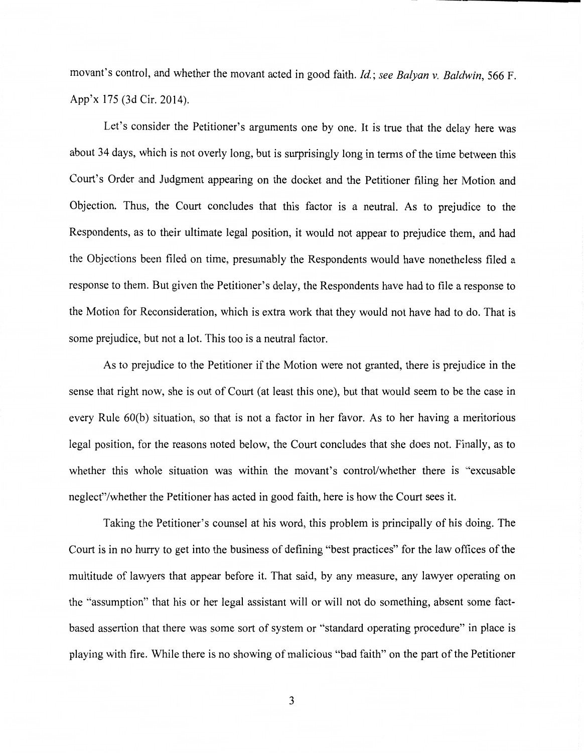movant's control, and whether the movant acted in good faith. *Id.*; *see Balyan v. Baldwin*, 566 F. App'x 175 (3d Cir. 2014).

Let's consider the Petitioner's arguments one by one. It is true that the delay here was about 34 days, which is not overly long, but is surprisingly long in terms of the time between this Court's Order and Judgment appearing on the docket and the Petitioner filing her Motion and Objection. Thus, the Court concludes that this factor is a neutral. As to prejudice to the Respondents, as to their ultimate legal position, it would not appear to prejudice them, and had the Objections been filed on time, presumably the Respondents would have nonetheless filed a response to them. But given the Petitioner's delay, the Respondents have had to file a response to the Motion for Reconsideration, which is extra work that they would not have had to do. That is some prejudice, but not a lot. This too is a neutral factor.

As to prejudice to the Petitioner if the Motion were not granted, there is prejudice in the sense that right now, she is out of Court (at least this one), but that would seem to be the case in every Rule 60(b) situation, so that is not a factor in her favor. As to her having a meritorious legal position, for the reasons noted below, the Court concludes that she does not. Finally, as to whether this whole situation was within the movant's control/whether there is "excusable neglect"/whether the Petitioner has acted in good faith, here is how the Court sees it.

Taking the Petitioner's counsel at his word, this problem is principally of his doing. The Court is in no hurry to get into the business of defining "best practices" for the law offices of the multitude of lawyers that appear before it. That said, by any measure, any lawyer operating on the "assumption" that his or her legal assistant will or will not do something, absent some factbased assertion that there was some sort of system or "standard operating procedure" in place is playing with fire. While there is no showing of malicious "bad faith" on the part of the Petitioner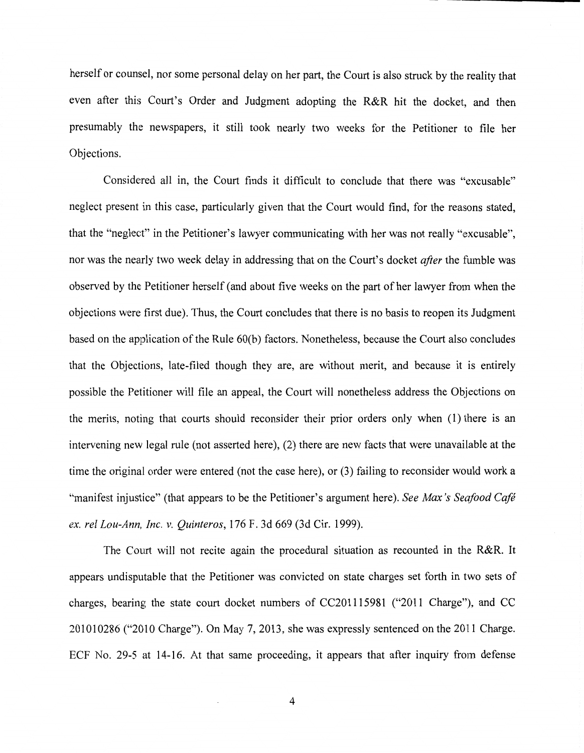herself or counsel, nor some personal delay on her part, the Court is also struck by the reality that even after this Court's Order and Judgment adopting the R&R hit the docket, and then presumably the newspapers, it still took nearly two weeks for the Petitioner to file her Objections.

Considered all in, the Court finds it difficult to conclude that there was "excusable" neglect present in this case, particularly given that the Court would find, for the reasons stated, that the "neglect" in the Petitioner's lawyer communicating with her was not really '"excusable'', nor was the nearly two week delay in addressing that on the Court's docket *after* the fumble was observed by the Petitioner herself (and about five weeks on the part of her lawyer from when the objections were first due). Thus, the Court concludes that there is no basis to reopen its Judgment based on the application of the Rule 60(b) factors. Nonetheless, because the Court also concludes that the Objections, late-filed though they are, are without merit, and because it is entirely possible the Petitioner will file an appeal, the Court will nonetheless address the Objections on the merits, noting that courts should reconsider their prior orders only when (1) there is an intervening new legal rule (not asserted here), (2) there are new facts that were unavailable at the time the original order were entered (not the case here), or (3) failing to reconsider would work a "manifest injustice" (that appears to be the Petitioner's argument here). *See Max's Seafood Cafe ex. rel Lou-Ann, Inc. v. Quinteros,* 176 F. 3d 669 (3d Cir. 1999).

The Court will not recite again the procedural situation as recounted in the R&R. It appears undisputable that the Petitioner was convicted on state charges set forth in two sets of charges, bearing the state court docket numbers of CC201115981 ("2011 Charge"), and CC 201010286 ("2010 Charge"). On May 7, 2013, she was expressly sentenced on the 20I 1 Charge. ECF No. 29-5 at 14-16. At that same proceeding, it appears that after inquiry from defense

4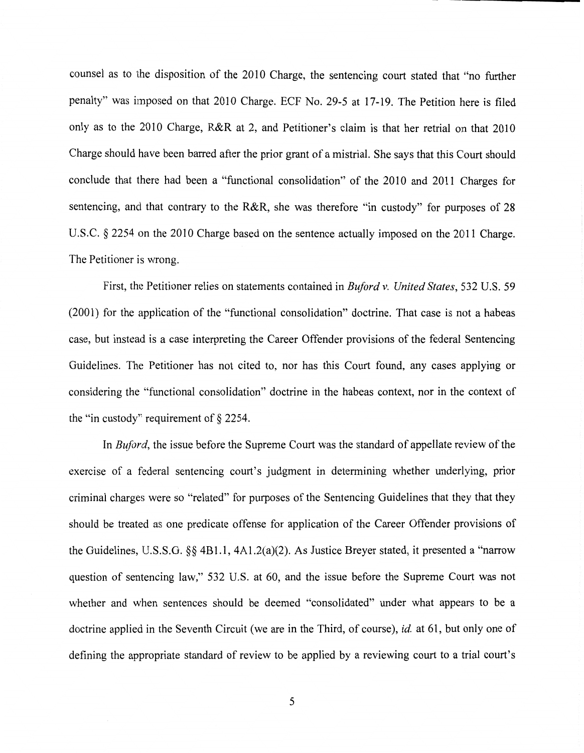counsel as to the disposition of the 2010 Charge, the sentencing court stated that "no further penalty" was imposed on that 2010 Charge. ECF No. 29-5 at 17-19. The Petition here is filed only as to the 2010 Charge, R&R at 2, and Petitioner's claim is that her retrial on that 2010 Charge should have been barred after the prior grant of a mistrial. She says that this Court should conclude that there had been a "functional consolidation" of the 2010 and 2011 Charges for sentencing, and that contrary to the R&R, she was therefore "in custody" for purposes of 28 U.S.C. § 2254 on the 2010 Charge based on the sentence actually imposed on the 2011 Charge. The Petitioner is wrong.

First, the Petitioner relies on statements contained in *Buford v. United States,* 532 U.S. 59 (2001) for the application of the "functional consolidation" doctrine. That case is not a habeas case, but instead is a case interpreting the Career Offender provisions of the federal Sentencing Guidelines. The Petitioner has not cited to, nor has this Court found, any cases applying or considering the "functional consolidation" doctrine in the habeas context, nor in the context of the "in custody" requirement of§ 2254.

In *Buford,* the issue before the Supreme Court was the standard of appellate review of the exercise of a federal sentencing court's judgment in determining whether underlying, prior criminal charges were so "related" for purposes of the Sentencing Guidelines that they that they should be treated as one predicate offense for application of the Career Offender provisions of the Guidelines, U.S.S.G.  $\&$  4B1.1, 4A1.2(a)(2). As Justice Breyer stated, it presented a "narrow question of sentencing law," 532 U.S. at 60, and the issue before the Supreme Court was not whether and when sentences should be deemed "consolidated" under what appears to be a doctrine applied in the Seventh Circuit (we are in the Third, of course), *id.* at 61, but only one of defining the appropriate standard of review to be applied by a reviewing court to a trial court's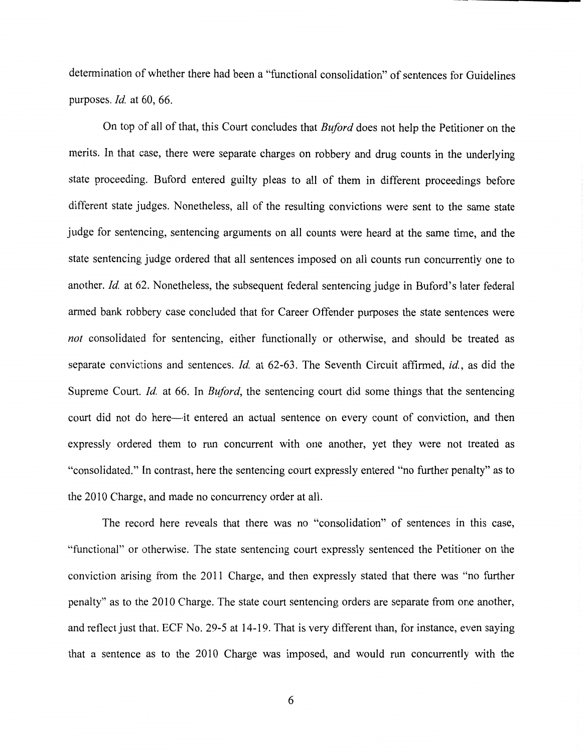determination of whether there had been a "functional consolidation" of sentences for Guidelines purposes. *Id.* at 60, 66.

On top of all of that, this Court concludes that *Buford* does not help the Petitioner on the merits. In that case, there were separate charges on robbery and drug counts in the underlying state proceeding. Buford entered guilty pleas to all of them in different proceedings before different state judges. Nonetheless, all of the resulting convictions were sent to the same state judge for sentencing, sentencing arguments on all counts were heard at the same time, and the state sentencing judge ordered that all sentences imposed on all counts run concurrently one to another. *Id.* at 62. Nonetheless, the subsequent federal sentencing judge in Buford's later federal armed bank robbery case concluded that for Career Offender purposes the state sentences were *not* consolidated for sentencing, either functionally or otherwise, and should be treated as separate convictions and sentences. *Id.* at 62-63. The Seventh Circuit affirmed, *id.,* as did the Supreme Court. *Id.* at 66. In *Buford,* the sentencing court did some things that the sentencing court did not do here--it entered an actual sentence on every count of conviction, and then expressly ordered them to run concurrent with one another, yet they were not treated as "consolidated." In contrast, here the sentencing court expressly entered "no further penalty" as to the 2010 Charge, and made no concurrency order at all.

The record here reveals that there was no "consolidation" of sentences in this case, "functional" or otherwise. The state sentencing court expressly sentenced the Petitioner on the conviction arising from the 2011 Charge, and then expressly stated that there was "no further penalty" as to the 2010 Charge. The state court sentencing orders are separate from one another, and reflect just that. ECF No. 29-5 at 14-19. That is very different than, for instance, even saying that a sentence as to the 2010 Charge was imposed, and would run concurrently with the